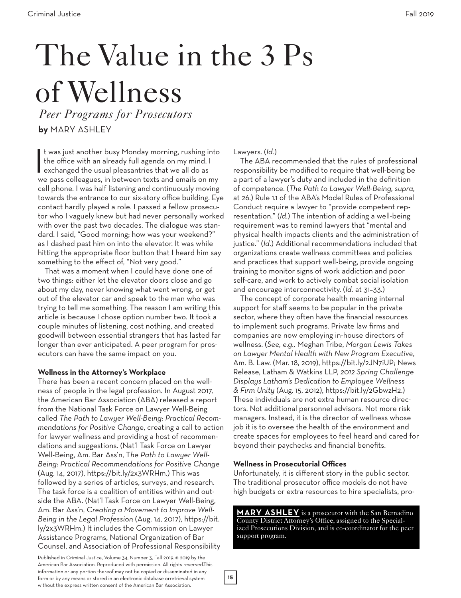# The Value in the 3 Ps of Wellness

*Peer Programs for Prosecutors*

**by** MARY ASHLEY

It was just another busy Monday morning, rushing in<br>the office with an already full agenda on my mind. If<br>exchanged the usual pleasantries that we all do as<br>we ness collectures in between texts and emails on r t was just another busy Monday morning, rushing into the office with an already full agenda on my mind. I we pass colleagues, in between texts and emails on my cell phone. I was half listening and continuously moving towards the entrance to our six-story office building. Eye contact hardly played a role. I passed a fellow prosecutor who I vaguely knew but had never personally worked with over the past two decades. The dialogue was standard. I said, "Good morning; how was your weekend?" as I dashed past him on into the elevator. It was while hitting the appropriate floor button that I heard him say something to the effect of, "Not very good."

That was a moment when I could have done one of two things: either let the elevator doors close and go about my day, never knowing what went wrong, or get out of the elevator car and speak to the man who was trying to tell me something. The reason I am writing this article is because I chose option number two. It took a couple minutes of listening, cost nothing, and created goodwill between essential strangers that has lasted far longer than ever anticipated. A peer program for prosecutors can have the same impact on you.

# **Wellness in the Attorney's Workplace**

There has been a recent concern placed on the wellness of people in the legal profession. In August 2017, the American Bar Association (ABA) released a report from the National Task Force on Lawyer Well-Being called *The Path to Lawyer Well-Being: Practical Recommendations for Positive Chang*e, creating a call to action for lawyer wellness and providing a host of recommendations and suggestions. (Nat'l Task Force on Lawyer Well-Being, Am. Bar Ass'n, T*he Path to Lawyer Well-Being: Practical Recommendations for Positive Change*  (Aug. 14, 2017), https://bit.ly/2x3WRHm.) This was followed by a series of articles, surveys, and research. The task force is a coalition of entities within and outside the ABA. (Nat'l Task Force on Lawyer Well-Being, Am. Bar Ass'n, *Creating a Movement to Improve Well-Being in the Legal Profession* (Aug. 14, 2017), https://bit. ly/2x3WRHm.) It includes the Commission on Lawyer Assistance Programs, National Organization of Bar Counsel, and Association of Professional Responsibility

Published in Criminal Justice, Volume 34, Number 3, Fall 2019. © 2019 by the American Bar Association. Reproduced with permission. All rights reserved.This information or any portion thereof may not be copied or disseminated in any form or by any means or stored in an electronic database orretrieval system without the express written consent of the American Bar Association.

Lawyers. (*Id.*)

The ABA recommended that the rules of professional responsibility be modified to require that well-being be a part of a lawyer's duty and included in the definition of competence. (*The Path to Lawyer Well-Being, supra,*  at 26.) Rule 1.1 of the ABA's Model Rules of Professional Conduct require a lawyer to "provide competent representation." (*Id.*) The intention of adding a well-being requirement was to remind lawyers that "mental and physical health impacts clients and the administration of justice." (*Id.*) Additional recommendations included that organizations create wellness committees and policies and practices that support well-being, provide ongoing training to monitor signs of work addiction and poor self-care, and work to actively combat social isolation and encourage interconnectivity. (*Id.* at 31–33.)

The concept of corporate health meaning internal support for staff seems to be popular in the private sector, where they often have the financial resources to implement such programs. Private law firms and companies are now employing in-house directors of wellness. (*See, e.g.,* Meghan Tribe, *Morgan Lewis Takes on Lawyer Mental Health with New Program Executive*, Am. B. Law. (Mar. 18, 2019), https://bit.ly/2JN7iUP; News Release, Latham & Watkins LLP, *2012 Spring Challenge Displays Latham's Dedication to Employee Wellness & Firm Unity* (Aug. 15, 2012), https://bit.ly/2GbwzH2.) These individuals are not extra human resource directors. Not additional personnel advisors. Not more risk managers. Instead, it is the director of wellness whose job it is to oversee the health of the environment and create spaces for employees to feel heard and cared for beyond their paychecks and financial benefits.

# **Wellness in Prosecutorial Offices**

**15**

Unfortunately, it is different story in the public sector. The traditional prosecutor office models do not have high budgets or extra resources to hire specialists, pro-

**MARY ASHLEY** is a prosecutor with the San Bernadino County District Attorney's Office, assigned to the Specialized Prosecutions Division, and is co-coordinator for the peer support program.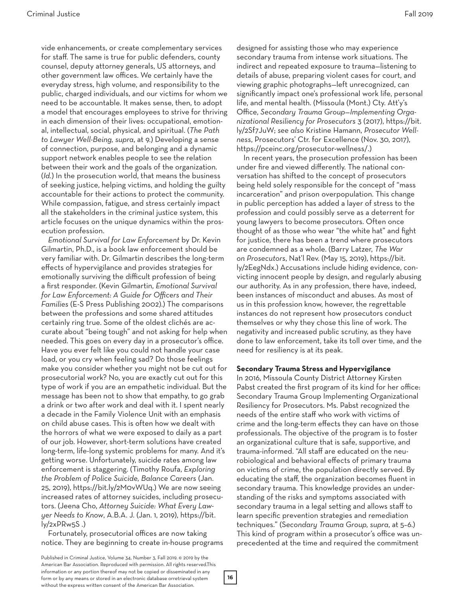vide enhancements, or create complementary services for staff. The same is true for public defenders, county counsel, deputy attorney generals, US attorneys, and other government law offices. We certainly have the everyday stress, high volume, and responsibility to the public, charged individuals, and our victims for whom we need to be accountable. It makes sense, then, to adopt a model that encourages employees to strive for thriving in each dimension of their lives: occupational, emotional, intellectual, social, physical, and spiritual. (*The Path to Lawyer Well-Being, supra*, at 9.) Developing a sense of connection, purpose, and belonging and a dynamic support network enables people to see the relation between their work and the goals of the organization. (*Id.*) In the prosecution world, that means the business of seeking justice, helping victims, and holding the guilty accountable for their actions to protect the community. While compassion, fatigue, and stress certainly impact all the stakeholders in the criminal justice system, this article focuses on the unique dynamics within the prosecution profession.

*Emotional Survival for Law Enforcement* by Dr. Kevin Gilmartin, Ph.D., is a book law enforcement should be very familiar with. Dr. Gilmartin describes the long-term effects of hypervigilance and provides strategies for emotionally surviving the difficult profession of being a first responder. (Kevin Gilmartin, *Emotional Survival for Law Enforcement: A Guide for Officers and Their Families* (E-S Press Publishing 2002).) The comparisons between the professions and some shared attitudes certainly ring true. Some of the oldest clichés are accurate about "being tough" and not asking for help when needed. This goes on every day in a prosecutor's office. Have you ever felt like you could not handle your case load, or you cry when feeling sad? Do those feelings make you consider whether you might not be cut out for prosecutorial work? No, you are exactly cut out for this type of work if you are an empathetic individual. But the message has been not to show that empathy, to go grab a drink or two after work and deal with it. I spent nearly a decade in the Family Violence Unit with an emphasis on child abuse cases. This is often how we dealt with the horrors of what we were exposed to daily as a part of our job. However, short-term solutions have created long-term, life-long systemic problems for many. And it's getting worse. Unfortunately, suicide rates among law enforcement is staggering. (Timothy Roufa, *Exploring the Problem of Police Suicide, Balance Careers* (Jan. 25, 2019), https://bit.ly/2M0vWUq.) We are now seeing increased rates of attorney suicides, including prosecutors. (Jeena Cho, *Attorney Suicide: What Every Lawyer Needs to Know*, A.B.A. J. (Jan. 1, 2019), https://bit. ly/2xPRw5S .)

Fortunately, prosecutorial offices are now taking notice. They are beginning to create in-house programs designed for assisting those who may experience secondary trauma from intense work situations. The indirect and repeated exposure to trauma—listening to details of abuse, preparing violent cases for court, and viewing graphic photographs—left unrecognized, can significantly impact one's professional work life, personal life, and mental health. (Missoula (Mont.) Cty. Att'y's Office, *Secondary Trauma Group—Implementing Organizational Resiliency for Prosecutors* 3 (2017), https://bit. ly/2Sf7JuW; *see also* Kristine Hamann, *Prosecutor Wellness*, Prosecutors' Ctr. for Excellence (Nov. 30, 2017), https://pceinc.org/prosecutor-wellness/.)

In recent years, the prosecution profession has been under fire and viewed differently. The national conversation has shifted to the concept of prosecutors being held solely responsible for the concept of "mass incarceration" and prison overpopulation. This change in public perception has added a layer of stress to the profession and could possibly serve as a deterrent for young lawyers to become prosecutors. Often once thought of as those who wear "the white hat" and fight for justice, there has been a trend where prosecutors are condemned as a whole. (Barry Latzer, *The War on Prosecutors*, Nat'l Rev. (May 15, 2019), https://bit. ly/2EegNdx.) Accusations include hiding evidence, convicting innocent people by design, and regularly abusing our authority. As in any profession, there have, indeed, been instances of misconduct and abuses. As most of us in this profession know, however, the regrettable instances do not represent how prosecutors conduct themselves or why they chose this line of work. The negativity and increased public scrutiny, as they have done to law enforcement, take its toll over time, and the need for resiliency is at its peak.

#### **Secondary Trauma Stress and Hypervigilance**

In 2016, Missoula County District Attorney Kirsten Pabst created the first program of its kind for her office: Secondary Trauma Group Implementing Organizational Resiliency for Prosecutors. Ms. Pabst recognized the needs of the entire staff who work with victims of crime and the long-term effects they can have on those professionals. The objective of the program is to foster an organizational culture that is safe, supportive, and trauma-informed. "All staff are educated on the neurobiological and behavioral effects of primary trauma on victims of crime, the population directly served. By educating the staff, the organization becomes fluent in secondary trauma. This knowledge provides an understanding of the risks and symptoms associated with secondary trauma in a legal setting and allows staff to learn specific prevention strategies and remediation techniques." (S*econdary Trauma Group, supra*, at 5–6.) This kind of program within a prosecutor's office was unprecedented at the time and required the commitment

**16**

Published in Criminal Justice, Volume 34, Number 3, Fall 2019. © 2019 by the American Bar Association. Reproduced with permission. All rights reserved.This information or any portion thereof may not be copied or disseminated in any form or by any means or stored in an electronic database orretrieval system without the express written consent of the American Bar Association.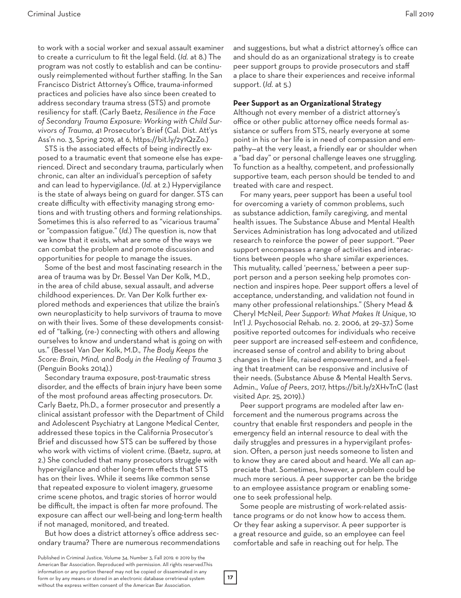to work with a social worker and sexual assault examiner to create a curriculum to fit the legal field. (*Id.* at 8.) The program was not costly to establish and can be continuously reimplemented without further staffing. In the San Francisco District Attorney's Office, trauma-informed practices and policies have also since been created to address secondary trauma stress (STS) and promote resiliency for staff. (Carly Baetz, *Resilience in the Face of Secondary Trauma Exposure: Working with Child Survivors of Trauma*, 41 Prosecutor's Brief (Cal. Dist. Att'ys Ass'n no. 3, Spring 2019, at 6, https://bit.ly/2y1QzZo.)

STS is the associated effects of being indirectly exposed to a traumatic event that someone else has experienced. Direct and secondary trauma, particularly when chronic, can alter an individual's perception of safety and can lead to hypervigilance. (*Id.* at 2.) Hypervigilance is the state of always being on guard for danger. STS can create difficulty with effectivity managing strong emotions and with trusting others and forming relationships. Sometimes this is also referred to as "vicarious trauma" or "compassion fatigue." (*Id.*) The question is, now that we know that it exists, what are some of the ways we can combat the problem and promote discussion and opportunities for people to manage the issues.

Some of the best and most fascinating research in the area of trauma was by Dr. Bessel Van Der Kolk, M.D., in the area of child abuse, sexual assault, and adverse childhood experiences. Dr. Van Der Kolk further explored methods and experiences that utilize the brain's own neuroplasticity to help survivors of trauma to move on with their lives. Some of these developments consisted of "talking, (re-) connecting with others and allowing ourselves to know and understand what is going on with us." (Bessel Van Der Kolk, M.D., *The Body Keeps the Score: Brain, Mind, and Body in the Healing of Trauma* 3 (Penguin Books 2014).)

Secondary trauma exposure, post-traumatic stress disorder, and the effects of brain injury have been some of the most profound areas affecting prosecutors. Dr. Carly Baetz, Ph.D., a former prosecutor and presently a clinical assistant professor with the Department of Child and Adolescent Psychiatry at Langone Medical Center, addressed these topics in the California Prosecutor's Brief and discussed how STS can be suffered by those who work with victims of violent crime. (Baetz, *supra*, at 2.) She concluded that many prosecutors struggle with hypervigilance and other long-term effects that STS has on their lives. While it seems like common sense that repeated exposure to violent imagery, gruesome crime scene photos, and tragic stories of horror would be difficult, the impact is often far more profound. The exposure can affect our well-being and long-term health if not managed, monitored, and treated.

But how does a district attorney's office address secondary trauma? There are numerous recommendations and suggestions, but what a district attorney's office can and should do as an organizational strategy is to create peer support groups to provide prosecutors and staff a place to share their experiences and receive informal support. (*Id*. at 5.)

#### **Peer Support as an Organizational Strategy**

Although not every member of a district attorney's office or other public attorney office needs formal assistance or suffers from STS, nearly everyone at some point in his or her life is in need of compassion and empathy—at the very least, a friendly ear or shoulder when a "bad day" or personal challenge leaves one struggling. To function as a healthy, competent, and professionally supportive team, each person should be tended to and treated with care and respect.

For many years, peer support has been a useful tool for overcoming a variety of common problems, such as substance addiction, family caregiving, and mental health issues. The Substance Abuse and Mental Health Services Administration has long advocated and utilized research to reinforce the power of peer support. "Peer support encompasses a range of activities and interactions between people who share similar experiences. This mutuality, called 'peerness,' between a peer support person and a person seeking help promotes connection and inspires hope. Peer support offers a level of acceptance, understanding, and validation not found in many other professional relationships." (Shery Mead & Cheryl McNeil, *Peer Support: What Makes It Unique*, 10 Int'l J. Psychosocial Rehab. no. 2. 2006, at 29–37.) Some positive reported outcomes for individuals who receive peer support are increased self-esteem and confidence, increased sense of control and ability to bring about changes in their life, raised empowerment, and a feeling that treatment can be responsive and inclusive of their needs. (Substance Abuse & Mental Health Servs. Admin., *Value of Peers*, 2017, https://bit.ly/2XHvTnC (last visited Apr. 25, 2019).)

Peer support programs are modeled after law enforcement and the numerous programs across the country that enable first responders and people in the emergency field an internal resource to deal with the daily struggles and pressures in a hypervigilant profession. Often, a person just needs someone to listen and to know they are cared about and heard. We all can appreciate that. Sometimes, however, a problem could be much more serious. A peer supporter can be the bridge to an employee assistance program or enabling someone to seek professional help.

Some people are mistrusting of work-related assistance programs or do not know how to access them. Or they fear asking a supervisor. A peer supporter is a great resource and guide, so an employee can feel comfortable and safe in reaching out for help. The

Published in Criminal Justice, Volume 34, Number 3, Fall 2019. © 2019 by the American Bar Association. Reproduced with permission. All rights reserved.This information or any portion thereof may not be copied or disseminated in any form or by any means or stored in an electronic database orretrieval system without the express written consent of the American Bar Association.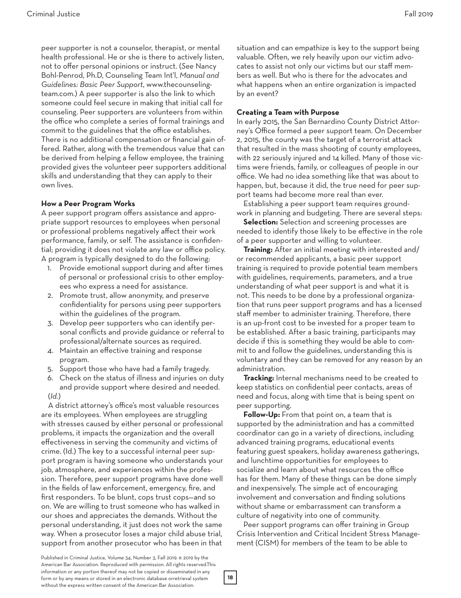peer supporter is not a counselor, therapist, or mental health professional. He or she is there to actively listen, not to offer personal opinions or instruct. (*See* Nancy Bohl-Penrod, Ph.D, Counseling Team Int'l, *Manual and Guidelines: Basic Peer Support*, www.thecounselingteam.com.) A peer supporter is also the link to which someone could feel secure in making that initial call for counseling. Peer supporters are volunteers from within the office who complete a series of formal trainings and commit to the guidelines that the office establishes. There is no additional compensation or financial gain offered. Rather, along with the tremendous value that can be derived from helping a fellow employee, the training provided gives the volunteer peer supporters additional skills and understanding that they can apply to their own lives.

## **How a Peer Program Works**

A peer support program offers assistance and appropriate support resources to employees when personal or professional problems negatively affect their work performance, family, or self. The assistance is confidential; providing it does not violate any law or office policy. A program is typically designed to do the following:

- 1. Provide emotional support during and after times of personal or professional crisis to other employees who express a need for assistance.
- 2. Promote trust, allow anonymity, and preserve confidentiality for persons using peer supporters within the guidelines of the program.
- 3. Develop peer supporters who can identify personal conflicts and provide guidance or referral to professional/alternate sources as required.
- 4. Maintain an effective training and response program.
- 5. Support those who have had a family tragedy.
- 6. Check on the status of illness and injuries on duty
- and provide support where desired and needed. (*Id*.)

A district attorney's office's most valuable resources are its employees. When employees are struggling with stresses caused by either personal or professional problems, it impacts the organization and the overall effectiveness in serving the community and victims of crime. (Id.) The key to a successful internal peer support program is having someone who understands your job, atmosphere, and experiences within the profession. Therefore, peer support programs have done well in the fields of law enforcement, emergency, fire, and first responders. To be blunt, cops trust cops—and so on. We are willing to trust someone who has walked in our shoes and appreciates the demands. Without the personal understanding, it just does not work the same way. When a prosecutor loses a major child abuse trial, support from another prosecutor who has been in that

situation and can empathize is key to the support being valuable. Often, we rely heavily upon our victim advocates to assist not only our victims but our staff members as well. But who is there for the advocates and what happens when an entire organization is impacted by an event?

# **Creating a Team with Purpose**

In early 2015, the San Bernardino County District Attorney's Office formed a peer support team. On December 2, 2015, the county was the target of a terrorist attack that resulted in the mass shooting of county employees, with 22 seriously injured and 14 killed. Many of those victims were friends, family, or colleagues of people in our office. We had no idea something like that was about to happen, but, because it did, the true need for peer support teams had become more real than ever.

Establishing a peer support team requires groundwork in planning and budgeting. There are several steps:

**Selection:** Selection and screening processes are needed to identify those likely to be effective in the role of a peer supporter and willing to volunteer.

**Training:** After an initial meeting with interested and/ or recommended applicants, a basic peer support training is required to provide potential team members with guidelines, requirements, parameters, and a true understanding of what peer support is and what it is not. This needs to be done by a professional organization that runs peer support programs and has a licensed staff member to administer training. Therefore, there is an up-front cost to be invested for a proper team to be established. After a basic training, participants may decide if this is something they would be able to commit to and follow the guidelines, understanding this is voluntary and they can be removed for any reason by an administration.

**Tracking:** Internal mechanisms need to be created to keep statistics on confidential peer contacts, areas of need and focus, along with time that is being spent on peer supporting.

**Follow-Up:** From that point on, a team that is supported by the administration and has a committed coordinator can go in a variety of directions, including advanced training programs, educational events featuring guest speakers, holiday awareness gatherings, and lunchtime opportunities for employees to socialize and learn about what resources the office has for them. Many of these things can be done simply and inexpensively. The simple act of encouraging involvement and conversation and finding solutions without shame or embarrassment can transform a culture of negativity into one of community.

Peer support programs can offer training in Group Crisis Intervention and Critical Incident Stress Management (CISM) for members of the team to be able to

**18**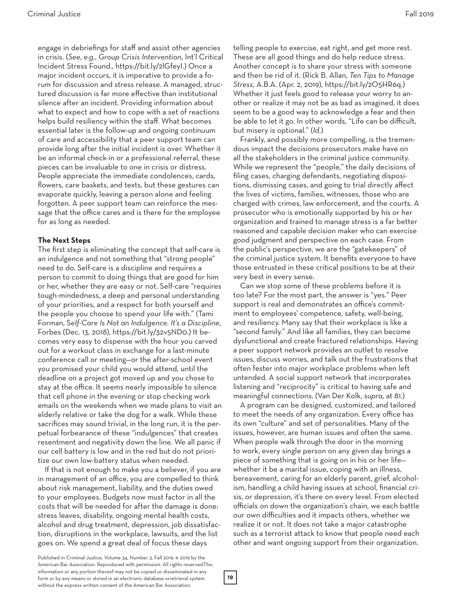engage in debriefings for staff and assist other agencies in crisis. (*See, e.g.*, *Group Crisis Intervention*, Int'l Critical Incident Stress Found., https://bit.ly/2lGfeyI.) Once a major incident occurs, it is imperative to provide a forum for discussion and stress release. A managed, structured discussion is far more effective than institutional silence after an incident. Providing information about what to expect and how to cope with a set of reactions helps build resiliency within the staff. What becomes essential later is the follow-up and ongoing continuum of care and accessibility that a peer support team can provide long after the initial incident is over. Whether it be an informal check-in or a professional referral, these pieces can be invaluable to one in crisis or distress. People appreciate the immediate condolences, cards, flowers, care baskets, and texts, but these gestures can evaporate quickly, leaving a person alone and feeling forgotten. A peer support team can reinforce the message that the office cares and is there for the employee for as long as needed.

## **The Next Steps**

The first step is eliminating the concept that self-care is an indulgence and not something that "strong people" need to do. Self-care is a discipline and requires a person to commit to doing things that are good for him or her, whether they are easy or not. Self-care "requires tough-mindedness, a deep and personal understanding of your priorities, and a respect for both yourself and the people you choose to spend your life with." (Tami Forman, S*elf-Care Is Not an Indulgence. It's a Discipline*, Forbes (Dec. 13, 2018), https://bit.ly/32v5ND0.) It becomes very easy to dispense with the hour you carved out for a workout class in exchange for a last-minute conference call or meeting—or the after-school event you promised your child you would attend, until the deadline on a project got moved up and you chose to stay at the office. It seems nearly impossible to silence that cell phone in the evening or stop checking work emails on the weekends when we made plans to visit an elderly relative or take the dog for a walk. While these sacrifices may sound trivial, in the long run, it is the perpetual forbearance of these "indulgences" that creates resentment and negativity down the line. We all panic if our cell battery is low and in the red but do not prioritize our own low-battery status when needed.

If that is not enough to make you a believer, if you are in management of an office, you are compelled to think about risk management, liability, and the duties owed to your employees. Budgets now must factor in all the costs that will be needed for after the damage is done: stress leaves, disability, ongoing mental health costs, alcohol and drug treatment, depression, job dissatisfaction, disruptions in the workplace, lawsuits, and the list goes on. We spend a great deal of focus these days

telling people to exercise, eat right, and get more rest. These are all good things and do help reduce stress. Another concept is to share your stress with someone and then be rid of it. (Rick B. Allan, *Ten Tips to Manage Stress*, A.B.A. (Apr. 2, 2019), https://bit.ly/2O5HR6q.) Whether it just feels good to release your worry to another or realize it may not be as bad as imagined, it does seem to be a good way to acknowledge a fear and then be able to let it go. In other words, "Life can be difficult, but misery is optional." (*Id.*)

Frankly, and possibly more compelling, is the tremendous impact the decisions prosecutors make have on all the stakeholders in the criminal justice community. While we represent the "people," the daily decisions of filing cases, charging defendants, negotiating dispositions, dismissing cases, and going to trial directly affect the lives of victims, families, witnesses, those who are charged with crimes, law enforcement, and the courts. A prosecutor who is emotionally supported by his or her organization and trained to manage stress is a far better reasoned and capable decision maker who can exercise good judgment and perspective on each case. From the public's perspective, we are the "gatekeepers" of the criminal justice system. It benefits everyone to have those entrusted in these critical positions to be at their very best in every sense.

Can we stop some of these problems before it is too late? For the most part, the answer is "yes." Peer support is real and demonstrates an office's commitment to employees' competence, safety, well-being, and resiliency. Many say that their workplace is like a "second family." And like all families, they can become dysfunctional and create fractured relationships. Having a peer support network provides an outlet to resolve issues, discuss worries, and talk out the frustrations that often fester into major workplace problems when left untended. A social support network that incorporates listening and "reciprocity" is critical to having safe and meaningful connections. (Van Der Kolk, *supra*, at 81.)

A program can be designed, customized, and tailored to meet the needs of any organization. Every office has its own "culture" and set of personalities. Many of the issues, however, are human issues and often the same. When people walk through the door in the morning to work, every single person on any given day brings a piece of something that is going on in his or her life whether it be a marital issue, coping with an illness, bereavement, caring for an elderly parent, grief, alcoholism, handling a child having issues at school, financial crisis, or depression, it's there on every level. From elected officials on down the organization's chain, we each battle our own difficulties and it impacts others, whether we realize it or not. It does not take a major catastrophe such as a terrorist attack to know that people need each other and want ongoing support from their organization.

Published in Criminal Justice, Volume 34, Number 3, Fall 2019. © 2019 by the American Bar Association. Reproduced with permission. All rights reserved.This information or any portion thereof may not be copied or disseminated in any form or by any means or stored in an electronic database orretrieval system without the express written consent of the American Bar Association.